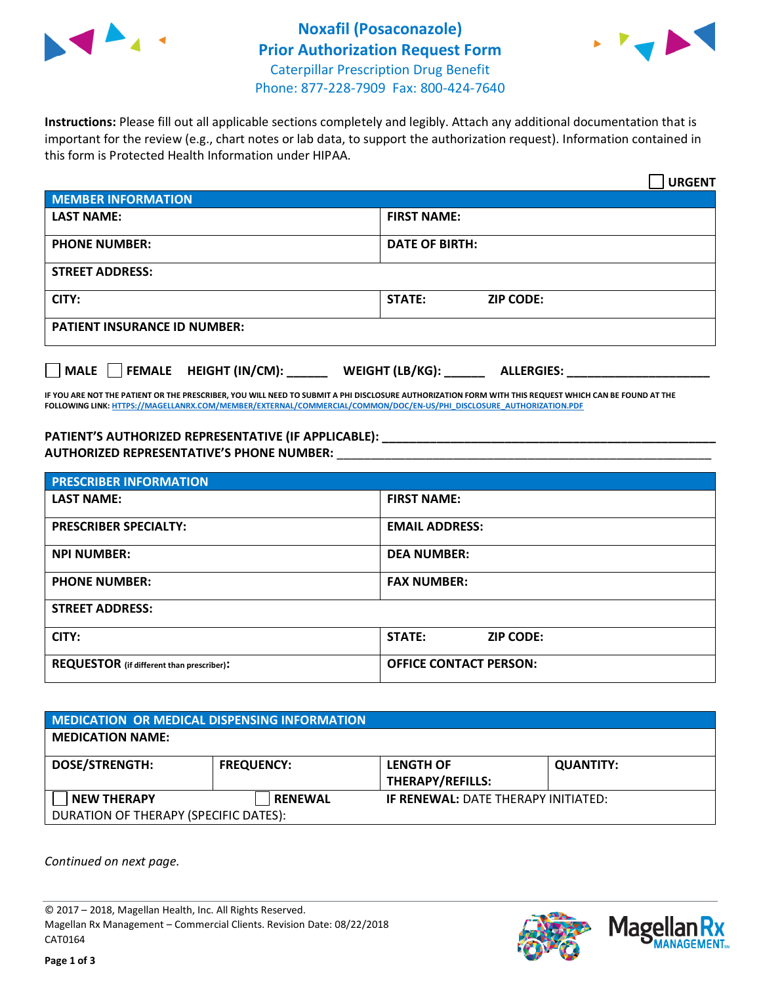



**Instructions:** Please fill out all applicable sections completely and legibly. Attach any additional documentation that is important for the review (e.g., chart notes or lab data, to support the authorization request). Information contained in this form is Protected Health Information under HIPAA.

|                                       | <b>URGENT</b>                        |  |
|---------------------------------------|--------------------------------------|--|
| <b>MEMBER INFORMATION</b>             |                                      |  |
| <b>LAST NAME:</b>                     | <b>FIRST NAME:</b>                   |  |
| <b>PHONE NUMBER:</b>                  | <b>DATE OF BIRTH:</b>                |  |
| <b>STREET ADDRESS:</b>                |                                      |  |
| CITY:                                 | <b>STATE:</b><br><b>ZIP CODE:</b>    |  |
| <b>PATIENT INSURANCE ID NUMBER:</b>   |                                      |  |
| FEMALE HEIGHT (IN/CM):<br><b>MALE</b> | WEIGHT (LB/KG):<br><b>ALLERGIES:</b> |  |

**IF YOU ARE NOT THE PATIENT OR THE PRESCRIBER, YOU WILL NEED TO SUBMIT A PHI DISCLOSURE AUTHORIZATION FORM WITH THIS REQUEST WHICH CAN BE FOUND AT THE FOLLOWING LINK[: HTTPS://MAGELLANRX.COM/MEMBER/EXTERNAL/COMMERCIAL/COMMON/DOC/EN-US/PHI\\_DISCLOSURE\\_AUTHORIZATION.PDF](https://magellanrx.com/member/external/commercial/common/doc/en-us/PHI_Disclosure_Authorization.pdf)**

**PATIENT'S AUTHORIZED REPRESENTATIVE (IF APPLICABLE): \_\_\_\_\_\_\_\_\_\_\_\_\_\_\_\_\_\_\_\_\_\_\_\_\_\_\_\_\_\_\_\_\_\_\_\_\_\_\_\_\_\_\_\_\_\_\_\_\_ AUTHORIZED REPRESENTATIVE'S PHONE NUMBER:** \_\_\_\_\_\_\_\_\_\_\_\_\_\_\_\_\_\_\_\_\_\_\_\_\_\_\_\_\_\_\_\_\_\_\_\_\_\_\_\_\_\_\_\_\_\_\_\_\_\_\_\_\_\_\_

| <b>PRESCRIBER INFORMATION</b>             |                                   |  |
|-------------------------------------------|-----------------------------------|--|
| <b>LAST NAME:</b>                         | <b>FIRST NAME:</b>                |  |
| <b>PRESCRIBER SPECIALTY:</b>              | <b>EMAIL ADDRESS:</b>             |  |
| <b>NPI NUMBER:</b>                        | <b>DEA NUMBER:</b>                |  |
| <b>PHONE NUMBER:</b>                      | <b>FAX NUMBER:</b>                |  |
| <b>STREET ADDRESS:</b>                    |                                   |  |
| CITY:                                     | <b>STATE:</b><br><b>ZIP CODE:</b> |  |
| REQUESTOR (if different than prescriber): | <b>OFFICE CONTACT PERSON:</b>     |  |

| <b>MEDICATION OR MEDICAL DISPENSING INFORMATION</b> |                   |                                            |                  |  |  |
|-----------------------------------------------------|-------------------|--------------------------------------------|------------------|--|--|
| <b>MEDICATION NAME:</b>                             |                   |                                            |                  |  |  |
| <b>DOSE/STRENGTH:</b>                               | <b>FREQUENCY:</b> | <b>LENGTH OF</b>                           | <b>QUANTITY:</b> |  |  |
|                                                     |                   | <b>THERAPY/REFILLS:</b>                    |                  |  |  |
| <b>NEW THERAPY</b>                                  | <b>RENEWAL</b>    | <b>IF RENEWAL: DATE THERAPY INITIATED:</b> |                  |  |  |
| DURATION OF THERAPY (SPECIFIC DATES):               |                   |                                            |                  |  |  |

*Continued on next page.*

© 2017 – 2018, Magellan Health, Inc. All Rights Reserved. Magellan Rx Management – Commercial Clients. Revision Date: 08/22/2018 CAT0164



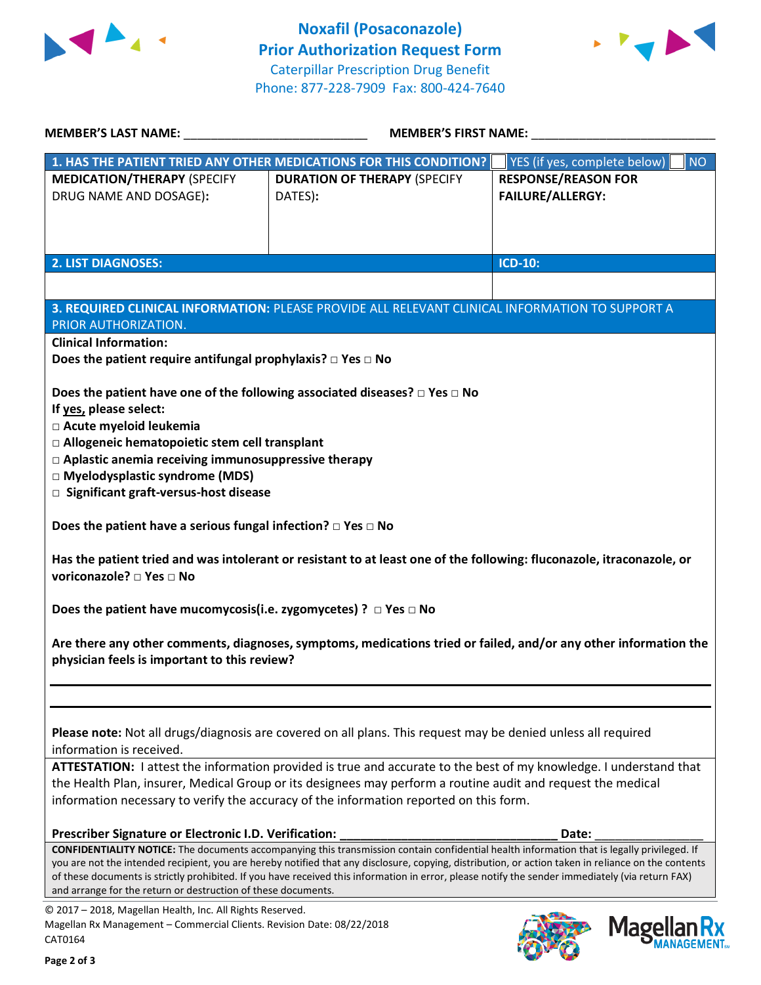



| <b>MEMBER'S LAST NAME:</b>                                                                                                                                                                                                                                                                                                                                                                                                                                                                   | <b>MEMBER'S FIRST NAME:</b>                                                                                                                                                                                                                                                                                                                                                                                                                                   |                                                       |
|----------------------------------------------------------------------------------------------------------------------------------------------------------------------------------------------------------------------------------------------------------------------------------------------------------------------------------------------------------------------------------------------------------------------------------------------------------------------------------------------|---------------------------------------------------------------------------------------------------------------------------------------------------------------------------------------------------------------------------------------------------------------------------------------------------------------------------------------------------------------------------------------------------------------------------------------------------------------|-------------------------------------------------------|
|                                                                                                                                                                                                                                                                                                                                                                                                                                                                                              | 1. HAS THE PATIENT TRIED ANY OTHER MEDICATIONS FOR THIS CONDITION?                                                                                                                                                                                                                                                                                                                                                                                            | YES (if yes, complete below)<br><b>NO</b>             |
| <b>MEDICATION/THERAPY (SPECIFY</b><br>DRUG NAME AND DOSAGE):                                                                                                                                                                                                                                                                                                                                                                                                                                 | <b>DURATION OF THERAPY (SPECIFY</b><br>DATES):                                                                                                                                                                                                                                                                                                                                                                                                                | <b>RESPONSE/REASON FOR</b><br><b>FAILURE/ALLERGY:</b> |
| <b>2. LIST DIAGNOSES:</b>                                                                                                                                                                                                                                                                                                                                                                                                                                                                    |                                                                                                                                                                                                                                                                                                                                                                                                                                                               | <b>ICD-10:</b>                                        |
|                                                                                                                                                                                                                                                                                                                                                                                                                                                                                              |                                                                                                                                                                                                                                                                                                                                                                                                                                                               |                                                       |
| PRIOR AUTHORIZATION.                                                                                                                                                                                                                                                                                                                                                                                                                                                                         | 3. REQUIRED CLINICAL INFORMATION: PLEASE PROVIDE ALL RELEVANT CLINICAL INFORMATION TO SUPPORT A                                                                                                                                                                                                                                                                                                                                                               |                                                       |
| <b>Clinical Information:</b>                                                                                                                                                                                                                                                                                                                                                                                                                                                                 |                                                                                                                                                                                                                                                                                                                                                                                                                                                               |                                                       |
| Does the patient require antifungal prophylaxis? $\square$ Yes $\square$ No                                                                                                                                                                                                                                                                                                                                                                                                                  |                                                                                                                                                                                                                                                                                                                                                                                                                                                               |                                                       |
| If yes, please select:<br>□ Acute myeloid leukemia<br>□ Allogeneic hematopoietic stem cell transplant<br>$\Box$ Aplastic anemia receiving immunosuppressive therapy<br>□ Myelodysplastic syndrome (MDS)<br>□ Significant graft-versus-host disease<br>Does the patient have a serious fungal infection? $\square$ Yes $\square$ No<br>voriconazole? □ Yes □ No<br>Does the patient have mucomycosis(i.e. zygomycetes) ? $\Box$ Yes $\Box$ No<br>physician feels is important to this review? | Does the patient have one of the following associated diseases? $\Box$ Yes $\Box$ No<br>Has the patient tried and was intolerant or resistant to at least one of the following: fluconazole, itraconazole, or<br>Are there any other comments, diagnoses, symptoms, medications tried or failed, and/or any other information the                                                                                                                             |                                                       |
|                                                                                                                                                                                                                                                                                                                                                                                                                                                                                              |                                                                                                                                                                                                                                                                                                                                                                                                                                                               |                                                       |
| information is received.                                                                                                                                                                                                                                                                                                                                                                                                                                                                     | Please note: Not all drugs/diagnosis are covered on all plans. This request may be denied unless all required<br>ATTESTATION: I attest the information provided is true and accurate to the best of my knowledge. I understand that<br>the Health Plan, insurer, Medical Group or its designees may perform a routine audit and request the medical<br>information necessary to verify the accuracy of the information reported on this form.                 |                                                       |
|                                                                                                                                                                                                                                                                                                                                                                                                                                                                                              |                                                                                                                                                                                                                                                                                                                                                                                                                                                               |                                                       |
| Prescriber Signature or Electronic I.D. Verification:<br>and arrange for the return or destruction of these documents.                                                                                                                                                                                                                                                                                                                                                                       | <b>CONFIDENTIALITY NOTICE:</b> The documents accompanying this transmission contain confidential health information that is legally privileged. If<br>you are not the intended recipient, you are hereby notified that any disclosure, copying, distribution, or action taken in reliance on the contents<br>of these documents is strictly prohibited. If you have received this information in error, please notify the sender immediately (via return FAX) | Date:                                                 |
| © 2017 - 2018, Magellan Health, Inc. All Rights Reserved.<br>Magellan Rx Management - Commercial Clients. Revision Date: 08/22/2018                                                                                                                                                                                                                                                                                                                                                          |                                                                                                                                                                                                                                                                                                                                                                                                                                                               |                                                       |
| CAT0164                                                                                                                                                                                                                                                                                                                                                                                                                                                                                      |                                                                                                                                                                                                                                                                                                                                                                                                                                                               | <b>Magel</b>                                          |